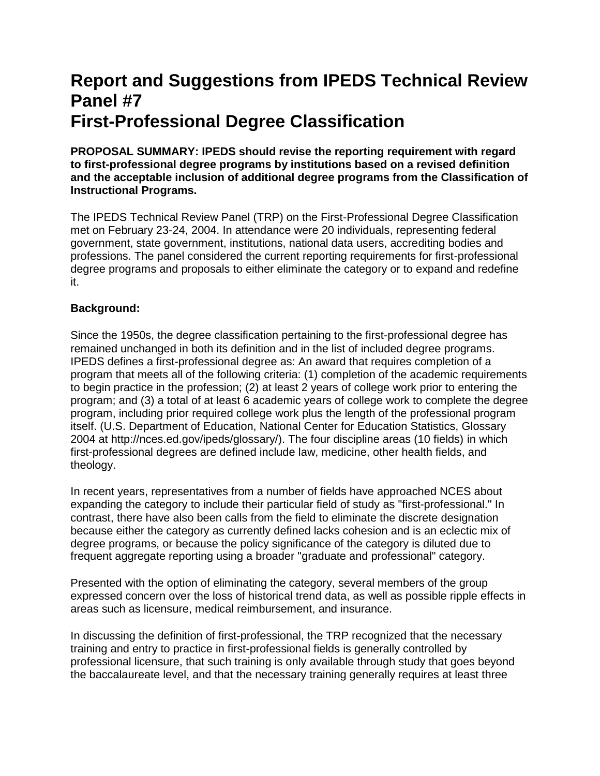# **Report and Suggestions from IPEDS Technical Review Panel #7 First-Professional Degree Classification**

**PROPOSAL SUMMARY: IPEDS should revise the reporting requirement with regard to first-professional degree programs by institutions based on a revised definition and the acceptable inclusion of additional degree programs from the Classification of Instructional Programs.**

The IPEDS Technical Review Panel (TRP) on the First-Professional Degree Classification met on February 23-24, 2004. In attendance were 20 individuals, representing federal government, state government, institutions, national data users, accrediting bodies and professions. The panel considered the current reporting requirements for first-professional degree programs and proposals to either eliminate the category or to expand and redefine it.

## **Background:**

Since the 1950s, the degree classification pertaining to the first-professional degree has remained unchanged in both its definition and in the list of included degree programs. IPEDS defines a first-professional degree as: An award that requires completion of a program that meets all of the following criteria: (1) completion of the academic requirements to begin practice in the profession; (2) at least 2 years of college work prior to entering the program; and (3) a total of at least 6 academic years of college work to complete the degree program, including prior required college work plus the length of the professional program itself. (U.S. Department of Education, National Center for Education Statistics, Glossary 2004 at http://nces.ed.gov/ipeds/glossary/). The four discipline areas (10 fields) in which first-professional degrees are defined include law, medicine, other health fields, and theology.

In recent years, representatives from a number of fields have approached NCES about expanding the category to include their particular field of study as "first-professional." In contrast, there have also been calls from the field to eliminate the discrete designation because either the category as currently defined lacks cohesion and is an eclectic mix of degree programs, or because the policy significance of the category is diluted due to frequent aggregate reporting using a broader "graduate and professional" category.

Presented with the option of eliminating the category, several members of the group expressed concern over the loss of historical trend data, as well as possible ripple effects in areas such as licensure, medical reimbursement, and insurance.

In discussing the definition of first-professional, the TRP recognized that the necessary training and entry to practice in first-professional fields is generally controlled by professional licensure, that such training is only available through study that goes beyond the baccalaureate level, and that the necessary training generally requires at least three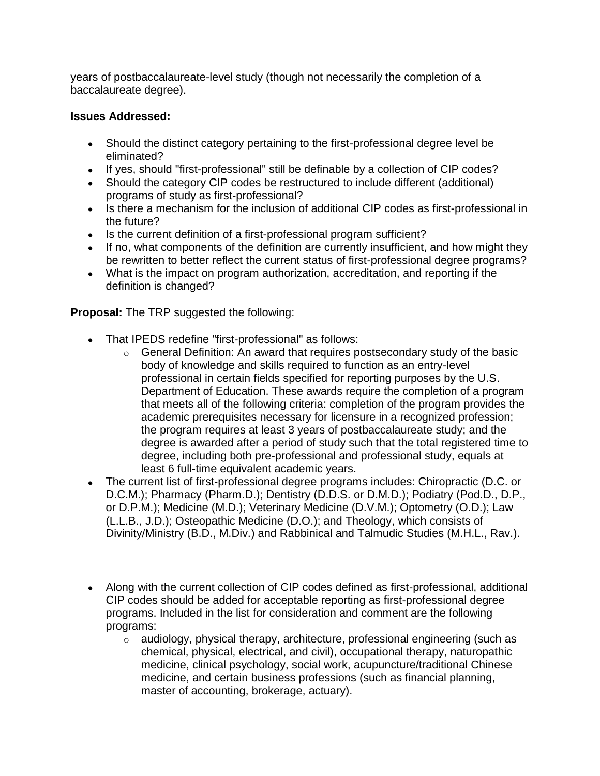years of postbaccalaureate-level study (though not necessarily the completion of a baccalaureate degree).

## **Issues Addressed:**

- Should the distinct category pertaining to the first-professional degree level be eliminated?
- If yes, should "first-professional" still be definable by a collection of CIP codes?
- Should the category CIP codes be restructured to include different (additional) programs of study as first-professional?
- Is there a mechanism for the inclusion of additional CIP codes as first-professional in the future?
- Is the current definition of a first-professional program sufficient?
- If no, what components of the definition are currently insufficient, and how might they be rewritten to better reflect the current status of first-professional degree programs?
- What is the impact on program authorization, accreditation, and reporting if the definition is changed?

**Proposal:** The TRP suggested the following:

- That IPEDS redefine "first-professional" as follows:
	- $\circ$  General Definition: An award that requires postsecondary study of the basic body of knowledge and skills required to function as an entry-level professional in certain fields specified for reporting purposes by the U.S. Department of Education. These awards require the completion of a program that meets all of the following criteria: completion of the program provides the academic prerequisites necessary for licensure in a recognized profession; the program requires at least 3 years of postbaccalaureate study; and the degree is awarded after a period of study such that the total registered time to degree, including both pre-professional and professional study, equals at least 6 full-time equivalent academic years.
- The current list of first-professional degree programs includes: Chiropractic (D.C. or D.C.M.); Pharmacy (Pharm.D.); Dentistry (D.D.S. or D.M.D.); Podiatry (Pod.D., D.P., or D.P.M.); Medicine (M.D.); Veterinary Medicine (D.V.M.); Optometry (O.D.); Law (L.L.B., J.D.); Osteopathic Medicine (D.O.); and Theology, which consists of Divinity/Ministry (B.D., M.Div.) and Rabbinical and Talmudic Studies (M.H.L., Rav.).
- Along with the current collection of CIP codes defined as first-professional, additional CIP codes should be added for acceptable reporting as first-professional degree programs. Included in the list for consideration and comment are the following programs:
	- $\circ$  audiology, physical therapy, architecture, professional engineering (such as chemical, physical, electrical, and civil), occupational therapy, naturopathic medicine, clinical psychology, social work, acupuncture/traditional Chinese medicine, and certain business professions (such as financial planning, master of accounting, brokerage, actuary).